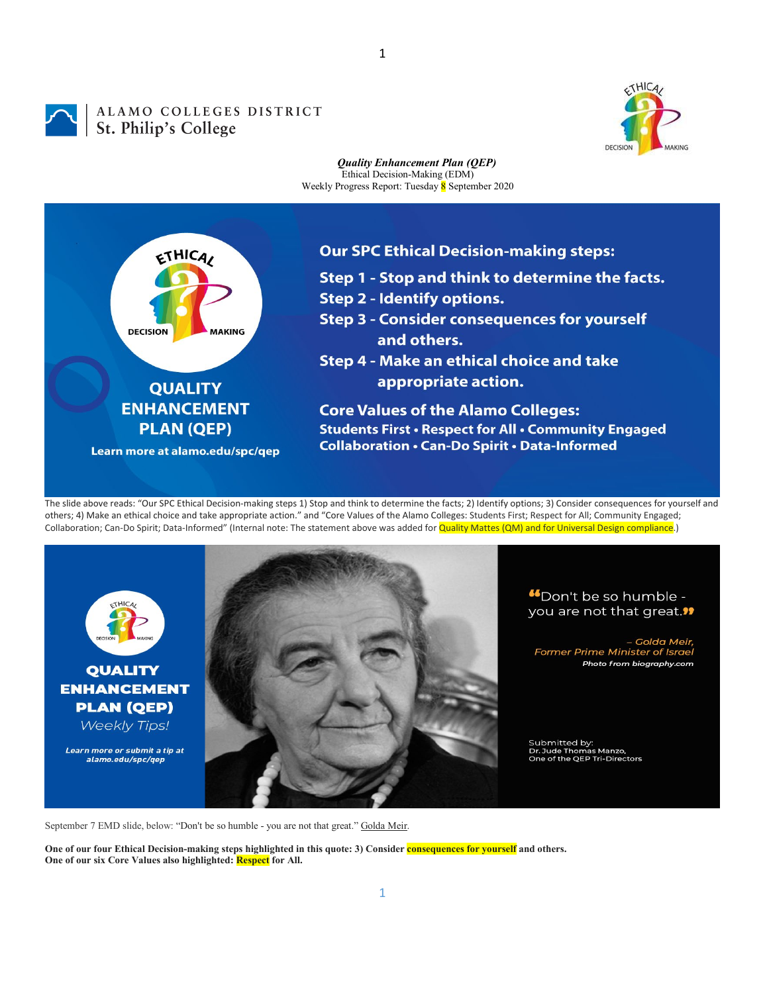## ALAMO COLLEGES DISTRICT<br>St. Philip's College



## *Quality Enhancement Plan (QEP)* Ethical Decision-Making (EDM) Weekly Progress Report: Tuesday 8 September 2020



The slide above reads: "Our SPC Ethical Decision-making steps 1) Stop and think to determine the facts; 2) Identify options; 3) Consider consequences for yourself and others; 4) Make an ethical choice and take appropriate action." and "Core Values of the Alamo Colleges: Students First; Respect for All; Community Engaged; Collaboration; Can-Do Spirit; Data-Informed" (Internal note: The statement above was added for Quality Mattes (QM) and for Universal Design compliance.)



## "Don't be so humble you are not that great."

- Golda Meir, **Former Prime Minister of Israel** Photo from biography.com

Submitted by:<br>Dr. Jude Thomas Manzo,<br>One of the QEP Tri-Directors

September 7 EMD slide, below: "Don't be so humble - you are not that great." Golda Meir.

**One of our four Ethical Decision-making steps highlighted in this quote: 3) Consider consequences for yourself and others. One of our six Core Values also highlighted: Respect for All.**